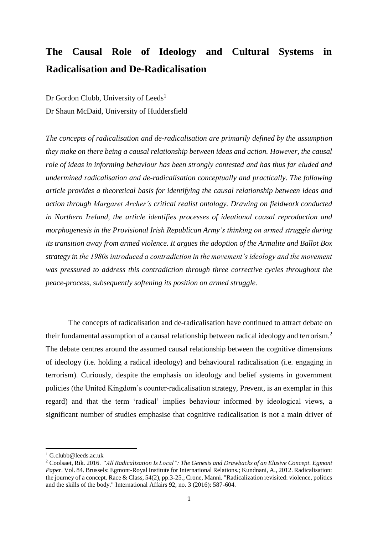# **The Causal Role of Ideology and Cultural Systems in Radicalisation and De-Radicalisation**

Dr Gordon Clubb, University of Leeds<sup>1</sup> Dr Shaun McDaid, University of Huddersfield

*The concepts of radicalisation and de-radicalisation are primarily defined by the assumption they make on there being a causal relationship between ideas and action. However, the causal role of ideas in informing behaviour has been strongly contested and has thus far eluded and undermined radicalisation and de-radicalisation conceptually and practically. The following article provides a theoretical basis for identifying the causal relationship between ideas and action through Margaret Archer's critical realist ontology. Drawing on fieldwork conducted in Northern Ireland, the article identifies processes of ideational causal reproduction and morphogenesis in the Provisional Irish Republican Army's thinking on armed struggle during its transition away from armed violence. It argues the adoption of the Armalite and Ballot Box strategy in the 1980s introduced a contradiction in the movement's ideology and the movement was pressured to address this contradiction through three corrective cycles throughout the peace-process, subsequently softening its position on armed struggle.* 

The concepts of radicalisation and de-radicalisation have continued to attract debate on their fundamental assumption of a causal relationship between radical ideology and terrorism.<sup>2</sup> The debate centres around the assumed causal relationship between the cognitive dimensions of ideology (i.e. holding a radical ideology) and behavioural radicalisation (i.e. engaging in terrorism). Curiously, despite the emphasis on ideology and belief systems in government policies (the United Kingdom's counter-radicalisation strategy, Prevent, is an exemplar in this regard) and that the term 'radical' implies behaviour informed by ideological views, a significant number of studies emphasise that cognitive radicalisation is not a main driver of

<sup>1</sup> G.clubb@leeds.ac.uk

<sup>2</sup> Coolsaet, Rik. 2016. *"All Radicalisation Is Local": The Genesis and Drawbacks of an Elusive Concept*. *Egmont Paper*. Vol. 84. Brussels: Egmont-Royal Institute for International Relations.; Kundnani, A., 2012. Radicalisation: the journey of a concept. Race & Class, 54(2), pp.3-25.; Crone, Manni. "Radicalization revisited: violence, politics and the skills of the body." International Affairs 92, no. 3 (2016): 587-604.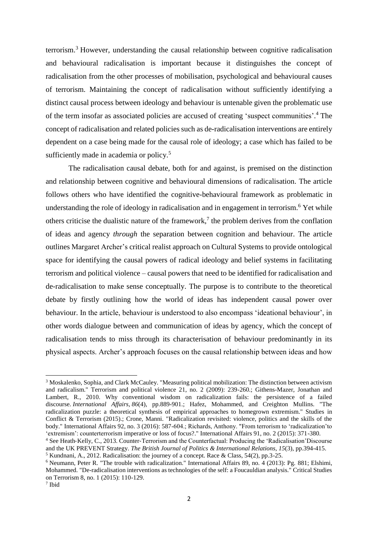terrorism. <sup>3</sup> However, understanding the causal relationship between cognitive radicalisation and behavioural radicalisation is important because it distinguishes the concept of radicalisation from the other processes of mobilisation, psychological and behavioural causes of terrorism. Maintaining the concept of radicalisation without sufficiently identifying a distinct causal process between ideology and behaviour is untenable given the problematic use of the term insofar as associated policies are accused of creating 'suspect communities'. <sup>4</sup> The concept of radicalisation and related policies such as de-radicalisation interventions are entirely dependent on a case being made for the causal role of ideology; a case which has failed to be sufficiently made in academia or policy.<sup>5</sup>

The radicalisation causal debate, both for and against, is premised on the distinction and relationship between cognitive and behavioural dimensions of radicalisation. The article follows others who have identified the cognitive-behavioural framework as problematic in understanding the role of ideology in radicalisation and in engagement in terrorism.<sup>6</sup> Yet while others criticise the dualistic nature of the framework,<sup>7</sup> the problem derives from the conflation of ideas and agency *through* the separation between cognition and behaviour. The article outlines Margaret Archer's critical realist approach on Cultural Systems to provide ontological space for identifying the causal powers of radical ideology and belief systems in facilitating terrorism and political violence – causal powers that need to be identified for radicalisation and de-radicalisation to make sense conceptually. The purpose is to contribute to the theoretical debate by firstly outlining how the world of ideas has independent causal power over behaviour. In the article, behaviour is understood to also encompass 'ideational behaviour', in other words dialogue between and communication of ideas by agency, which the concept of radicalisation tends to miss through its characterisation of behaviour predominantly in its physical aspects. Archer's approach focuses on the causal relationship between ideas and how

<sup>5</sup> Kundnani, A., 2012. Radicalisation: the journey of a concept. Race & Class,  $54(2)$ , pp.3-25.

<sup>3</sup> Moskalenko, Sophia, and Clark McCauley. "Measuring political mobilization: The distinction between activism and radicalism." Terrorism and political violence 21, no. 2 (2009): 239-260.; Githens-Mazer, Jonathan and Lambert, R., 2010. Why conventional wisdom on radicalization fails: the persistence of a failed discourse. *International Affairs*, *86*(4), pp.889-901.; Hafez, Mohammed, and Creighton Mullins. "The radicalization puzzle: a theoretical synthesis of empirical approaches to homegrown extremism." Studies in Conflict & Terrorism (2015).; Crone, Manni. "Radicalization revisited: violence, politics and the skills of the body." International Affairs 92, no. 3 (2016): 587-604.; Richards, Anthony. "From terrorism to 'radicalization'to 'extremism': counterterrorism imperative or loss of focus?." International Affairs 91, no. 2 (2015): 371-380.

<sup>4</sup> See Heath‐Kelly, C., 2013. Counter‐Terrorism and the Counterfactual: Producing the 'Radicalisation'Discourse and the UK PREVENT Strategy. *The British Journal of Politics & International Relations*, *15*(3), pp.394-415.

<sup>6</sup> Neumann, Peter R. "The trouble with radicalization." International Affairs 89, no. 4 (2013): Pg. 881; Elshimi, Mohammed. "De-radicalisation interventions as technologies of the self: a Foucauldian analysis." Critical Studies on Terrorism 8, no. 1 (2015): 110-129.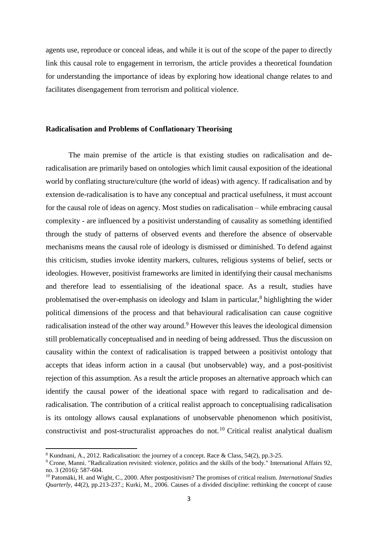agents use, reproduce or conceal ideas, and while it is out of the scope of the paper to directly link this causal role to engagement in terrorism, the article provides a theoretical foundation for understanding the importance of ideas by exploring how ideational change relates to and facilitates disengagement from terrorism and political violence.

### **Radicalisation and Problems of Conflationary Theorising**

The main premise of the article is that existing studies on radicalisation and deradicalisation are primarily based on ontologies which limit causal exposition of the ideational world by conflating structure/culture (the world of ideas) with agency. If radicalisation and by extension de-radicalisation is to have any conceptual and practical usefulness, it must account for the causal role of ideas on agency. Most studies on radicalisation – while embracing causal complexity - are influenced by a positivist understanding of causality as something identified through the study of patterns of observed events and therefore the absence of observable mechanisms means the causal role of ideology is dismissed or diminished. To defend against this criticism, studies invoke identity markers, cultures, religious systems of belief, sects or ideologies. However, positivist frameworks are limited in identifying their causal mechanisms and therefore lead to essentialising of the ideational space. As a result, studies have problematised the over-emphasis on ideology and Islam in particular,<sup>8</sup> highlighting the wider political dimensions of the process and that behavioural radicalisation can cause cognitive radicalisation instead of the other way around.<sup>9</sup> However this leaves the ideological dimension still problematically conceptualised and in needing of being addressed. Thus the discussion on causality within the context of radicalisation is trapped between a positivist ontology that accepts that ideas inform action in a causal (but unobservable) way, and a post-positivist rejection of this assumption. As a result the article proposes an alternative approach which can identify the causal power of the ideational space with regard to radicalisation and deradicalisation. The contribution of a critical realist approach to conceptualising radicalisation is its ontology allows causal explanations of unobservable phenomenon which positivist, constructivist and post-structuralist approaches do not. <sup>10</sup> Critical realist analytical dualism

<sup>8</sup> Kundnani, A., 2012. Radicalisation: the journey of a concept. Race & Class, 54(2), pp.3-25.

<sup>&</sup>lt;sup>9</sup> Crone, Manni. "Radicalization revisited: violence, politics and the skills of the body." International Affairs 92, no. 3 (2016): 587-604.

<sup>10</sup> Patomäki, H. and Wight, C., 2000. After postpositivism? The promises of critical realism. *International Studies Quarterly*, *44*(2), pp.213-237.; Kurki, M., 2006. Causes of a divided discipline: rethinking the concept of cause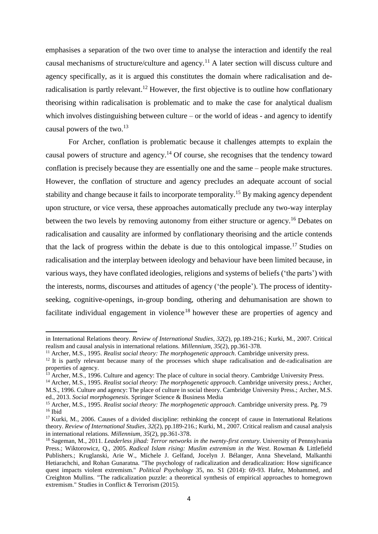emphasises a separation of the two over time to analyse the interaction and identify the real causal mechanisms of structure/culture and agency.<sup>11</sup> A later section will discuss culture and agency specifically, as it is argued this constitutes the domain where radicalisation and deradicalisation is partly relevant.<sup>12</sup> However, the first objective is to outline how conflationary theorising within radicalisation is problematic and to make the case for analytical dualism which involves distinguishing between culture – or the world of ideas - and agency to identify causal powers of the two.<sup>13</sup>

For Archer, conflation is problematic because it challenges attempts to explain the causal powers of structure and agency.<sup>14</sup> Of course, she recognises that the tendency toward conflation is precisely because they are essentially one and the same – people make structures. However, the conflation of structure and agency precludes an adequate account of social stability and change because it fails to incorporate temporality.<sup>15</sup> By making agency dependent upon structure, or vice versa, these approaches automatically preclude any two-way interplay between the two levels by removing autonomy from either structure or agency.<sup>16</sup> Debates on radicalisation and causality are informed by conflationary theorising and the article contends that the lack of progress within the debate is due to this ontological impasse.<sup>17</sup> Studies on radicalisation and the interplay between ideology and behaviour have been limited because, in various ways, they have conflated ideologies, religions and systems of beliefs ('the parts') with the interests, norms, discourses and attitudes of agency ('the people'). The process of identityseeking, cognitive-openings, in-group bonding, othering and dehumanisation are shown to facilitate individual engagement in violence<sup>18</sup> however these are properties of agency and

in International Relations theory. *Review of International Studies*, *32*(2), pp.189-216.; Kurki, M., 2007. Critical realism and causal analysis in international relations. *Millennium*, *35*(2), pp.361-378.

<sup>&</sup>lt;sup>11</sup> Archer, M.S., 1995. *Realist social theory: The morphogenetic approach*. Cambridge university press.

<sup>&</sup>lt;sup>12</sup> It is partly relevant because many of the processes which shape radicalisation and de-radicalisation are properties of agency.

<sup>&</sup>lt;sup>13</sup> Archer, M.S., 1996. Culture and agency: The place of culture in social theory. Cambridge University Press.

<sup>&</sup>lt;sup>14</sup> Archer, M.S., 1995. *Realist social theory: The morphogenetic approach*. Cambridge university press.; Archer, M.S., 1996. Culture and agency: The place of culture in social theory. Cambridge University Press.; Archer, M.S. ed., 2013. *Social morphogenesis*. Springer Science & Business Media

<sup>15</sup> Archer, M.S., 1995. *Realist social theory: The morphogenetic approach*. Cambridge university press. Pg. 79 <sup>16</sup> Ibid

<sup>&</sup>lt;sup>17</sup> Kurki, M., 2006. Causes of a divided discipline: rethinking the concept of cause in International Relations theory. *Review of International Studies*, *32*(2), pp.189-216.; Kurki, M., 2007. Critical realism and causal analysis in international relations. *Millennium*, *35*(2), pp.361-378.

<sup>18</sup> Sageman, M., 2011. *Leaderless jihad: Terror networks in the twenty-first century*. University of Pennsylvania Press.; Wiktorowicz, Q., 2005. *Radical Islam rising: Muslim extremism in the West*. Rowman & Littlefield Publishers.; Kruglanski, Arie W., Michele J. Gelfand, Jocelyn J. Bélanger, Anna Sheveland, Malkanthi Hetiarachchi, and Rohan Gunaratna. "The psychology of radicalization and deradicalization: How significance quest impacts violent extremism." *Political Psychology* 35, no. S1 (2014): 69-93. Hafez, Mohammed, and Creighton Mullins. "The radicalization puzzle: a theoretical synthesis of empirical approaches to homegrown extremism." Studies in Conflict & Terrorism (2015).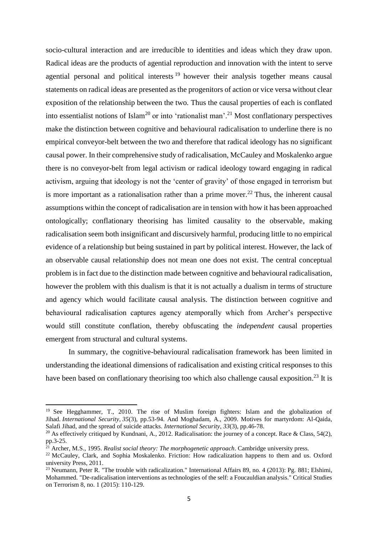socio-cultural interaction and are irreducible to identities and ideas which they draw upon. Radical ideas are the products of agential reproduction and innovation with the intent to serve agential personal and political interests<sup>19</sup> however their analysis together means causal statements on radical ideas are presented as the progenitors of action or vice versa without clear exposition of the relationship between the two. Thus the causal properties of each is conflated into essentialist notions of Islam<sup>20</sup> or into 'rationalist man'.<sup>21</sup> Most conflationary perspectives make the distinction between cognitive and behavioural radicalisation to underline there is no empirical conveyor-belt between the two and therefore that radical ideology has no significant causal power. In their comprehensive study of radicalisation, McCauley and Moskalenko argue there is no conveyor-belt from legal activism or radical ideology toward engaging in radical activism, arguing that ideology is not the 'center of gravity' of those engaged in terrorism but is more important as a rationalisation rather than a prime mover.<sup>22</sup> Thus, the inherent causal assumptions within the concept of radicalisation are in tension with how it has been approached ontologically; conflationary theorising has limited causality to the observable, making radicalisation seem both insignificant and discursively harmful, producing little to no empirical evidence of a relationship but being sustained in part by political interest. However, the lack of an observable causal relationship does not mean one does not exist. The central conceptual problem is in fact due to the distinction made between cognitive and behavioural radicalisation, however the problem with this dualism is that it is not actually a dualism in terms of structure and agency which would facilitate causal analysis. The distinction between cognitive and behavioural radicalisation captures agency atemporally which from Archer's perspective would still constitute conflation, thereby obfuscating the *independent* causal properties emergent from structural and cultural systems.

In summary, the cognitive-behavioural radicalisation framework has been limited in understanding the ideational dimensions of radicalisation and existing critical responses to this have been based on conflationary theorising too which also challenge causal exposition.<sup>23</sup> It is

<sup>&</sup>lt;sup>19</sup> See Hegghammer, T., 2010. The rise of Muslim foreign fighters: Islam and the globalization of Jihad. *International Security*, *35*(3), pp.53-94. And Moghadam, A., 2009. Motives for martyrdom: Al-Qaida, Salafi Jihad, and the spread of suicide attacks. *International Security*, *33*(3), pp.46-78.

<sup>&</sup>lt;sup>20</sup> As effectively critiqued by Kundnani, A., 2012. Radicalisation: the journey of a concept. Race & Class, 54(2), pp.3-25.

<sup>21</sup> Archer, M.S., 1995. *Realist social theory: The morphogenetic approach*. Cambridge university press.

<sup>&</sup>lt;sup>22</sup> McCauley, Clark, and Sophia Moskalenko. Friction: How radicalization happens to them and us. Oxford university Press, 2011.

<sup>&</sup>lt;sup>23</sup> Neumann, Peter R. "The trouble with radicalization." International Affairs 89, no. 4 (2013): Pg. 881; Elshimi, Mohammed. "De-radicalisation interventions as technologies of the self: a Foucauldian analysis." Critical Studies on Terrorism 8, no. 1 (2015): 110-129.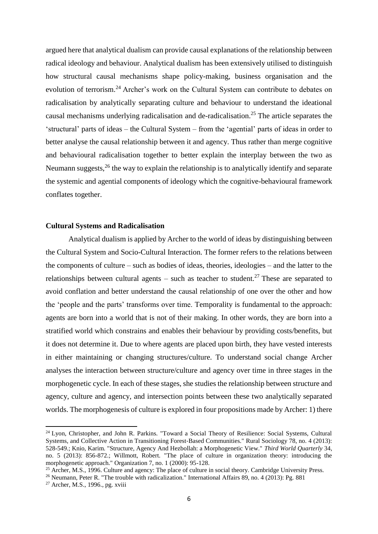argued here that analytical dualism can provide causal explanations of the relationship between radical ideology and behaviour. Analytical dualism has been extensively utilised to distinguish how structural causal mechanisms shape policy-making, business organisation and the evolution of terrorism.<sup>24</sup> Archer's work on the Cultural System can contribute to debates on radicalisation by analytically separating culture and behaviour to understand the ideational causal mechanisms underlying radicalisation and de-radicalisation. <sup>25</sup> The article separates the 'structural' parts of ideas – the Cultural System – from the 'agential' parts of ideas in order to better analyse the causal relationship between it and agency. Thus rather than merge cognitive and behavioural radicalisation together to better explain the interplay between the two as Neumann suggests,  $26$  the way to explain the relationship is to analytically identify and separate the systemic and agential components of ideology which the cognitive-behavioural framework conflates together.

#### **Cultural Systems and Radicalisation**

Analytical dualism is applied by Archer to the world of ideas by distinguishing between the Cultural System and Socio-Cultural Interaction. The former refers to the relations between the components of culture – such as bodies of ideas, theories, ideologies – and the latter to the relationships between cultural agents – such as teacher to student.<sup>27</sup> These are separated to avoid conflation and better understand the causal relationship of one over the other and how the 'people and the parts' transforms over time. Temporality is fundamental to the approach: agents are born into a world that is not of their making. In other words, they are born into a stratified world which constrains and enables their behaviour by providing costs/benefits, but it does not determine it. Due to where agents are placed upon birth, they have vested interests in either maintaining or changing structures/culture. To understand social change Archer analyses the interaction between structure/culture and agency over time in three stages in the morphogenetic cycle. In each of these stages, she studies the relationship between structure and agency, culture and agency, and intersection points between these two analytically separated worlds. The morphogenesis of culture is explored in four propositions made by Archer: 1) there

 $\overline{a}$ 

<sup>&</sup>lt;sup>24</sup> Lyon, Christopher, and John R. Parkins. "Toward a Social Theory of Resilience: Social Systems, Cultural Systems, and Collective Action in Transitioning Forest-Based Communities." Rural Sociology 78, no. 4 (2013): 528-549.; Knio, Karim. "Structure, Agency And Hezbollah: a Morphogenetic View." *Third World Quarterly* 34, no. 5 (2013): 856-872.; Willmott, Robert. "The place of culture in organization theory: introducing the morphogenetic approach." Organization 7, no. 1 (2000): 95-128.

<sup>&</sup>lt;sup>25</sup> Archer, M.S., 1996. Culture and agency: The place of culture in social theory. Cambridge University Press.

<sup>&</sup>lt;sup>26</sup> Neumann, Peter R. "The trouble with radicalization." International Affairs 89, no. 4 (2013): Pg. 881

 $27$  Archer, M.S., 1996., pg. xviii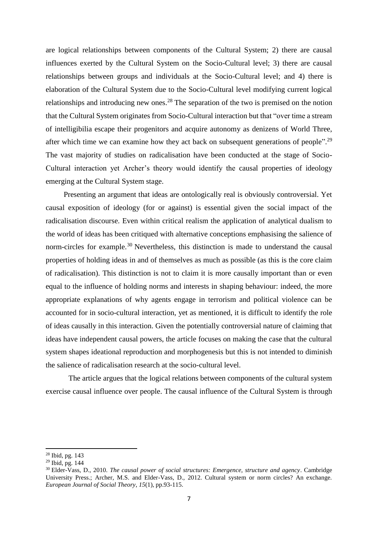are logical relationships between components of the Cultural System; 2) there are causal influences exerted by the Cultural System on the Socio-Cultural level; 3) there are causal relationships between groups and individuals at the Socio-Cultural level; and 4) there is elaboration of the Cultural System due to the Socio-Cultural level modifying current logical relationships and introducing new ones.<sup>28</sup> The separation of the two is premised on the notion that the Cultural System originates from Socio-Cultural interaction but that "over time a stream of intelligibilia escape their progenitors and acquire autonomy as denizens of World Three, after which time we can examine how they act back on subsequent generations of people".<sup>29</sup> The vast majority of studies on radicalisation have been conducted at the stage of Socio-Cultural interaction yet Archer's theory would identify the causal properties of ideology emerging at the Cultural System stage.

Presenting an argument that ideas are ontologically real is obviously controversial. Yet causal exposition of ideology (for or against) is essential given the social impact of the radicalisation discourse. Even within critical realism the application of analytical dualism to the world of ideas has been critiqued with alternative conceptions emphasising the salience of norm-circles for example.<sup>30</sup> Nevertheless, this distinction is made to understand the causal properties of holding ideas in and of themselves as much as possible (as this is the core claim of radicalisation). This distinction is not to claim it is more causally important than or even equal to the influence of holding norms and interests in shaping behaviour: indeed, the more appropriate explanations of why agents engage in terrorism and political violence can be accounted for in socio-cultural interaction, yet as mentioned, it is difficult to identify the role of ideas causally in this interaction. Given the potentially controversial nature of claiming that ideas have independent causal powers, the article focuses on making the case that the cultural system shapes ideational reproduction and morphogenesis but this is not intended to diminish the salience of radicalisation research at the socio-cultural level.

The article argues that the logical relations between components of the cultural system exercise causal influence over people. The causal influence of the Cultural System is through

<sup>28</sup> Ibid, pg. 143

 $^{29}$  Ibid, pg. 144

<sup>30</sup> Elder-Vass, D., 2010. *The causal power of social structures: Emergence, structure and agency*. Cambridge University Press.; Archer, M.S. and Elder-Vass, D., 2012. Cultural system or norm circles? An exchange. *European Journal of Social Theory*, *15*(1), pp.93-115.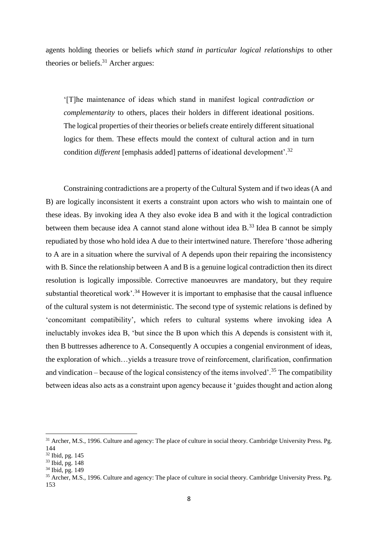agents holding theories or beliefs *which stand in particular logical relationships* to other theories or beliefs. $31$  Archer argues:

'[T]he maintenance of ideas which stand in manifest logical *contradiction or complementarity* to others, places their holders in different ideational positions. The logical properties of their theories or beliefs create entirely different situational logics for them. These effects mould the context of cultural action and in turn condition *different* [emphasis added] patterns of ideational development'.<sup>32</sup>

Constraining contradictions are a property of the Cultural System and if two ideas (A and B) are logically inconsistent it exerts a constraint upon actors who wish to maintain one of these ideas. By invoking idea A they also evoke idea B and with it the logical contradiction between them because idea A cannot stand alone without idea B.<sup>33</sup> Idea B cannot be simply repudiated by those who hold idea A due to their intertwined nature. Therefore 'those adhering to A are in a situation where the survival of A depends upon their repairing the inconsistency with B. Since the relationship between A and B is a genuine logical contradiction then its direct resolution is logically impossible. Corrective manoeuvres are mandatory, but they require substantial theoretical work'.<sup>34</sup> However it is important to emphasise that the causal influence of the cultural system is not deterministic. The second type of systemic relations is defined by 'concomitant compatibility', which refers to cultural systems where invoking idea A ineluctably invokes idea B, 'but since the B upon which this A depends is consistent with it, then B buttresses adherence to A. Consequently A occupies a congenial environment of ideas, the exploration of which…yields a treasure trove of reinforcement, clarification, confirmation and vindication – because of the logical consistency of the items involved'.<sup>35</sup> The compatibility between ideas also acts as a constraint upon agency because it 'guides thought and action along

 $31$  Archer, M.S., 1996. Culture and agency: The place of culture in social theory. Cambridge University Press. Pg. 144

<sup>32</sup> Ibid, pg. 145

<sup>33</sup> Ibid, pg. 148

<sup>34</sup> Ibid, pg. 149

<sup>&</sup>lt;sup>35</sup> Archer, M.S., 1996. Culture and agency: The place of culture in social theory. Cambridge University Press. Pg. 153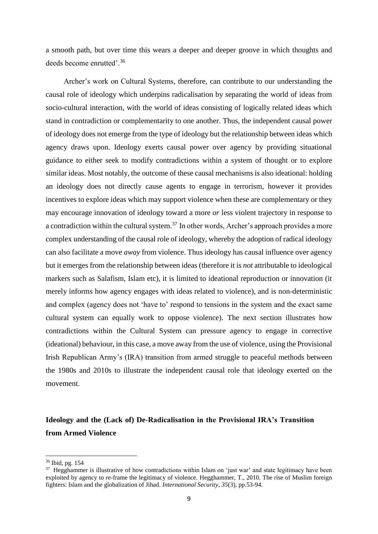a smooth path, but over time this wears a deeper and deeper groove in which thoughts and deeds become enrutted'.<sup>36</sup>

Archer's work on Cultural Systems, therefore, can contribute to our understanding the causal role of ideology which underpins radicalisation by separating the world of ideas from socio-cultural interaction, with the world of ideas consisting of logically related ideas which stand in contradiction or complementarity to one another. Thus, the independent causal power of ideology does not emerge from the type of ideology but the relationship between ideas which agency draws upon. Ideology exerts causal power over agency by providing situational guidance to either seek to modify contradictions within a system of thought or to explore similar ideas. Most notably, the outcome of these causal mechanisms is also ideational: holding an ideology does not directly cause agents to engage in terrorism, however it provides incentives to explore ideas which may support violence when these are complementary or they may encourage innovation of ideology toward a more *or* less violent trajectory in response to a contradiction within the cultural system.<sup>37</sup> In other words, Archer's approach provides a more complex understanding of the causal role of ideology, whereby the adoption of radical ideology can also facilitate a move *away* from violence. Thus ideology has causal influence over agency but it emerges from the relationship between ideas (therefore it is *not* attributable to ideological markers such as Salafism, Islam etc), it is limited to ideational reproduction or innovation (it merely informs how agency engages with ideas related to violence), and is non-deterministic and complex (agency does not 'have to' respond to tensions in the system and the exact same cultural system can equally work to oppose violence). The next section illustrates how contradictions within the Cultural System can pressure agency to engage in corrective (ideational) behaviour, in this case, a move away from the use of violence, using the Provisional Irish Republican Army's (IRA) transition from armed struggle to peaceful methods between the 1980s and 2010s to illustrate the independent causal role that ideology exerted on the movement.

## **Ideology and the (Lack of) De-Radicalisation in the Provisional IRA's Transition from Armed Violence**

<sup>36</sup> Ibid, pg. 154

<sup>&</sup>lt;sup>37</sup> Hegghammer is illustrative of how contradictions within Islam on 'just war' and state legitimacy have been exploited by agency to re-frame the legitimacy of violence. Hegghammer, T., 2010. The rise of Muslim foreign fighters: Islam and the globalization of Jihad. *International Security*, *35*(3), pp.53-94.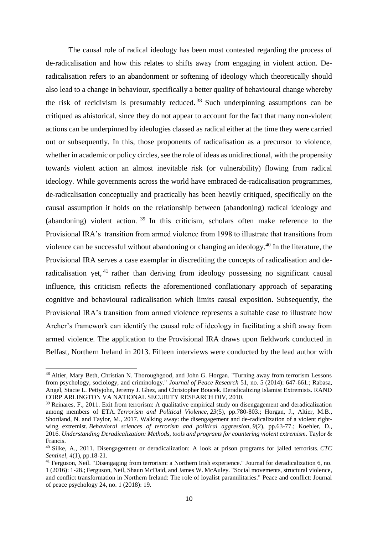The causal role of radical ideology has been most contested regarding the process of de-radicalisation and how this relates to shifts away from engaging in violent action. Deradicalisation refers to an abandonment or softening of ideology which theoretically should also lead to a change in behaviour, specifically a better quality of behavioural change whereby the risk of recidivism is presumably reduced. <sup>38</sup> Such underpinning assumptions can be critiqued as ahistorical, since they do not appear to account for the fact that many non-violent actions can be underpinned by ideologies classed as radical either at the time they were carried out or subsequently. In this, those proponents of radicalisation as a precursor to violence, whether in academic or policy circles, see the role of ideas as unidirectional, with the propensity towards violent action an almost inevitable risk (or vulnerability) flowing from radical ideology. While governments across the world have embraced de-radicalisation programmes, de-radicalisation conceptually and practically has been heavily critiqued, specifically on the causal assumption it holds on the relationship between (abandoning) radical ideology and (abandoning) violent action. <sup>39</sup> In this criticism, scholars often make reference to the Provisional IRA's transition from armed violence from 1998 to illustrate that transitions from violence can be successful without abandoning or changing an ideology. <sup>40</sup> In the literature, the Provisional IRA serves a case exemplar in discrediting the concepts of radicalisation and deradicalisation yet, <sup>41</sup> rather than deriving from ideology possessing no significant causal influence, this criticism reflects the aforementioned conflationary approach of separating cognitive and behavioural radicalisation which limits causal exposition. Subsequently, the Provisional IRA's transition from armed violence represents a suitable case to illustrate how Archer's framework can identify the causal role of ideology in facilitating a shift away from armed violence. The application to the Provisional IRA draws upon fieldwork conducted in Belfast, Northern Ireland in 2013. Fifteen interviews were conducted by the lead author with

<sup>38</sup> Altier, Mary Beth, Christian N. Thoroughgood, and John G. Horgan. "Turning away from terrorism Lessons from psychology, sociology, and criminology." *Journal of Peace Research* 51, no. 5 (2014): 647-661.; Rabasa, Angel, Stacie L. Pettyjohn, Jeremy J. Ghez, and Christopher Boucek. Deradicalizing Islamist Extremists. RAND CORP ARLINGTON VA NATIONAL SECURITY RESEARCH DIV, 2010.

<sup>39</sup> Reinares, F., 2011. Exit from terrorism: A qualitative empirical study on disengagement and deradicalization among members of ETA. *Terrorism and Political Violence*, *23*(5), pp.780-803.; Horgan, J., Altier, M.B., Shortland, N. and Taylor, M., 2017. Walking away: the disengagement and de-radicalization of a violent rightwing extremist. *Behavioral sciences of terrorism and political aggression*, *9*(2), pp.63-77.; Koehler, D., 2016. *Understanding Deradicalization: Methods, tools and programs for countering violent extremism*. Taylor & Francis.

<sup>40</sup> Silke, A., 2011. Disengagement or deradicalization: A look at prison programs for jailed terrorists. *CTC Sentinel*, *4*(1), pp.18-21.

<sup>41</sup> Ferguson, Neil. "Disengaging from terrorism: a Northern Irish experience." Journal for deradicalization 6, no. 1 (2016): 1-28.; Ferguson, Neil, Shaun McDaid, and James W. McAuley. "Social movements, structural violence, and conflict transformation in Northern Ireland: The role of loyalist paramilitaries." Peace and conflict: Journal of peace psychology 24, no. 1 (2018): 19.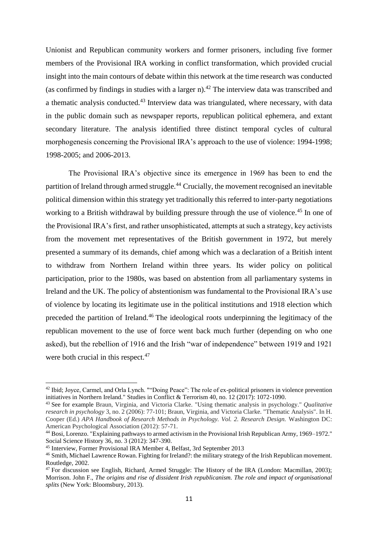Unionist and Republican community workers and former prisoners, including five former members of the Provisional IRA working in conflict transformation, which provided crucial insight into the main contours of debate within this network at the time research was conducted (as confirmed by findings in studies with a larger n).<sup>42</sup> The interview data was transcribed and a thematic analysis conducted.<sup>43</sup> Interview data was triangulated, where necessary, with data in the public domain such as newspaper reports, republican political ephemera, and extant secondary literature. The analysis identified three distinct temporal cycles of cultural morphogenesis concerning the Provisional IRA's approach to the use of violence: 1994-1998; 1998-2005; and 2006-2013.

The Provisional IRA's objective since its emergence in 1969 has been to end the partition of Ireland through armed struggle.<sup>44</sup> Crucially, the movement recognised an inevitable political dimension within this strategy yet traditionally this referred to inter-party negotiations working to a British withdrawal by building pressure through the use of violence.<sup>45</sup> In one of the Provisional IRA's first, and rather unsophisticated, attempts at such a strategy, key activists from the movement met representatives of the British government in 1972, but merely presented a summary of its demands, chief among which was a declaration of a British intent to withdraw from Northern Ireland within three years. Its wider policy on political participation, prior to the 1980s, was based on abstention from all parliamentary systems in Ireland and the UK. The policy of abstentionism was fundamental to the Provisional IRA's use of violence by locating its legitimate use in the political institutions and 1918 election which preceded the partition of Ireland.<sup>46</sup> The ideological roots underpinning the legitimacy of the republican movement to the use of force went back much further (depending on who one asked), but the rebellion of 1916 and the Irish "war of independence" between 1919 and 1921 were both crucial in this respect.<sup>47</sup>

<sup>42</sup> Ibid; Joyce, Carmel, and Orla Lynch. ""Doing Peace": The role of ex-political prisoners in violence prevention initiatives in Northern Ireland." Studies in Conflict & Terrorism 40, no. 12 (2017): 1072-1090.

<sup>43</sup> See for example Braun, Virginia, and Victoria Clarke. "Using thematic analysis in psychology." *Qualitative research in psychology* 3, no. 2 (2006): 77-101; Braun, Virginia, and Victoria Clarke. "Thematic Analysis". In H. Cooper (Ed.) *APA Handbook of Research Methods in Psychology. Vol. 2. Research Design.* Washington DC: American Psychological Association (2012): 57-71.

<sup>44</sup> Bosi, Lorenzo. "Explaining pathways to armed activism in the Provisional Irish Republican Army, 1969–1972." Social Science History 36, no. 3 (2012): 347-390.

<sup>45</sup> Interview, Former Provisional IRA Member 4, Belfast, 3rd September 2013

<sup>46</sup> Smith, Michael Lawrence Rowan. Fighting for Ireland?: the military strategy of the Irish Republican movement. Routledge, 2002.

<sup>47</sup> For discussion see English, Richard, Armed Struggle: The History of the IRA (London: Macmillan, 2003); Morrison. John F., *The origins and rise of dissident Irish republicanism. The role and impact of organisational splits* (New York: Bloomsbury, 2013).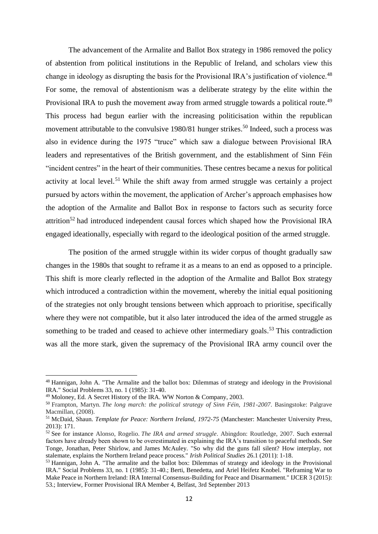The advancement of the Armalite and Ballot Box strategy in 1986 removed the policy of abstention from political institutions in the Republic of Ireland, and scholars view this change in ideology as disrupting the basis for the Provisional IRA's justification of violence.<sup>48</sup> For some, the removal of abstentionism was a deliberate strategy by the elite within the Provisional IRA to push the movement away from armed struggle towards a political route.<sup>49</sup> This process had begun earlier with the increasing politicisation within the republican movement attributable to the convulsive 1980/81 hunger strikes.<sup>50</sup> Indeed, such a process was also in evidence during the 1975 "truce" which saw a dialogue between Provisional IRA leaders and representatives of the British government, and the establishment of Sinn Féin "incident centres" in the heart of their communities. These centres became a nexus for political activity at local level.<sup>51</sup> While the shift away from armed struggle was certainly a project pursued by actors within the movement, the application of Archer's approach emphasises how the adoption of the Armalite and Ballot Box in response to factors such as security force attrition<sup>52</sup> had introduced independent causal forces which shaped how the Provisional IRA engaged ideationally, especially with regard to the ideological position of the armed struggle.

The position of the armed struggle within its wider corpus of thought gradually saw changes in the 1980s that sought to reframe it as a means to an end as opposed to a principle. This shift is more clearly reflected in the adoption of the Armalite and Ballot Box strategy which introduced a contradiction within the movement, whereby the initial equal positioning of the strategies not only brought tensions between which approach to prioritise, specifically where they were not compatible, but it also later introduced the idea of the armed struggle as something to be traded and ceased to achieve other intermediary goals.<sup>53</sup> This contradiction was all the more stark, given the supremacy of the Provisional IRA army council over the

<sup>48</sup> Hannigan, John A. "The Armalite and the ballot box: Dilemmas of strategy and ideology in the Provisional IRA." Social Problems 33, no. 1 (1985): 31-40.

<sup>49</sup> Moloney, Ed. A Secret History of the IRA. WW Norton & Company, 2003.

<sup>50</sup> Frampton, Martyn. *The long march: the political strategy of Sinn Féin, 1981-2007*. Basingstoke: Palgrave Macmillan, (2008).

<sup>51</sup> McDaid, Shaun. *Template for Peace: Northern Ireland, 1972-75* (Manchester: Manchester University Press, 2013): 171.

<sup>52</sup> See for instance Alonso, Rogelio. *The IRA and armed struggle*. Abingdon: Routledge, 2007. Such external factors have already been shown to be overestimated in explaining the IRA's transition to peaceful methods. See Tonge, Jonathan, Peter Shirlow, and James McAuley. "So why did the guns fall silent? How interplay, not stalemate, explains the Northern Ireland peace process." *Irish Political Studies* 26.1 (2011): 1-18.

<sup>&</sup>lt;sup>53</sup> Hannigan, John A. "The armalite and the ballot box: Dilemmas of strategy and ideology in the Provisional IRA." Social Problems 33, no. 1 (1985): 31-40.; Berti, Benedetta, and Ariel Heifetz Knobel. "Reframing War to Make Peace in Northern Ireland: IRA Internal Consensus-Building for Peace and Disarmament." IJCER 3 (2015): 53.; Interview, Former Provisional IRA Member 4, Belfast, 3rd September 2013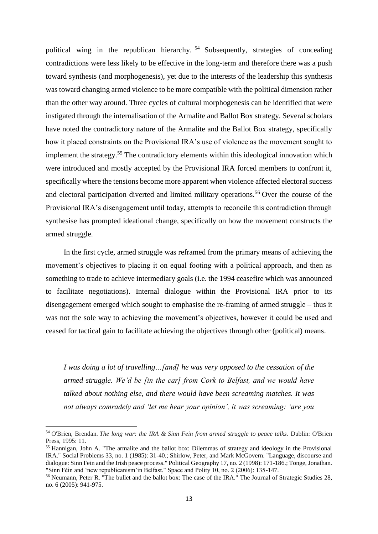political wing in the republican hierarchy. <sup>54</sup> Subsequently, strategies of concealing contradictions were less likely to be effective in the long-term and therefore there was a push toward synthesis (and morphogenesis), yet due to the interests of the leadership this synthesis was toward changing armed violence to be more compatible with the political dimension rather than the other way around. Three cycles of cultural morphogenesis can be identified that were instigated through the internalisation of the Armalite and Ballot Box strategy. Several scholars have noted the contradictory nature of the Armalite and the Ballot Box strategy, specifically how it placed constraints on the Provisional IRA's use of violence as the movement sought to implement the strategy.<sup>55</sup> The contradictory elements within this ideological innovation which were introduced and mostly accepted by the Provisional IRA forced members to confront it, specifically where the tensions become more apparent when violence affected electoral success and electoral participation diverted and limited military operations.<sup>56</sup> Over the course of the Provisional IRA's disengagement until today, attempts to reconcile this contradiction through synthesise has prompted ideational change, specifically on how the movement constructs the armed struggle.

In the first cycle, armed struggle was reframed from the primary means of achieving the movement's objectives to placing it on equal footing with a political approach, and then as something to trade to achieve intermediary goals (i.e. the 1994 ceasefire which was announced to facilitate negotiations). Internal dialogue within the Provisional IRA prior to its disengagement emerged which sought to emphasise the re-framing of armed struggle – thus it was not the sole way to achieving the movement's objectives, however it could be used and ceased for tactical gain to facilitate achieving the objectives through other (political) means.

*I was doing a lot of travelling…[and] he was very opposed to the cessation of the armed struggle. We'd be [in the car] from Cork to Belfast, and we would have talked about nothing else, and there would have been screaming matches. It was not always comradely and 'let me hear your opinion', it was screaming: 'are you* 

<sup>54</sup> O'Brien, Brendan. *The long war: the IRA & Sinn Fein from armed struggle to peace talks*. Dublin: O'Brien Press, 1995: 11.

<sup>55</sup> Hannigan, John A. "The armalite and the ballot box: Dilemmas of strategy and ideology in the Provisional IRA." Social Problems 33, no. 1 (1985): 31-40.; Shirlow, Peter, and Mark McGovern. "Language, discourse and dialogue: Sinn Fein and the Irish peace process." Political Geography 17, no. 2 (1998): 171-186.; Tonge, Jonathan. "Sinn Féin and 'new republicanism'in Belfast." Space and Polity 10, no. 2 (2006): 135-147.

<sup>56</sup> Neumann, Peter R. "The bullet and the ballot box: The case of the IRA." The Journal of Strategic Studies 28, no. 6 (2005): 941-975.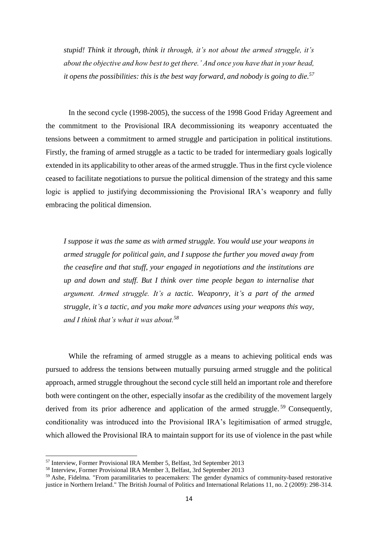*stupid! Think it through, think it through, it's not about the armed struggle, it's about the objective and how best to get there.' And once you have that in your head, it opens the possibilities: this is the best way forward, and nobody is going to die.<sup>57</sup>*

In the second cycle (1998-2005), the success of the 1998 Good Friday Agreement and the commitment to the Provisional IRA decommissioning its weaponry accentuated the tensions between a commitment to armed struggle and participation in political institutions. Firstly, the framing of armed struggle as a tactic to be traded for intermediary goals logically extended in its applicability to other areas of the armed struggle. Thus in the first cycle violence ceased to facilitate negotiations to pursue the political dimension of the strategy and this same logic is applied to justifying decommissioning the Provisional IRA's weaponry and fully embracing the political dimension.

*I suppose it was the same as with armed struggle. You would use your weapons in armed struggle for political gain, and I suppose the further you moved away from the ceasefire and that stuff, your engaged in negotiations and the institutions are up and down and stuff. But I think over time people began to internalise that argument. Armed struggle. It's a tactic. Weaponry, it's a part of the armed struggle, it's a tactic, and you make more advances using your weapons this way, and I think that's what it was about.<sup>58</sup>*

While the reframing of armed struggle as a means to achieving political ends was pursued to address the tensions between mutually pursuing armed struggle and the political approach, armed struggle throughout the second cycle still held an important role and therefore both were contingent on the other, especially insofar as the credibility of the movement largely derived from its prior adherence and application of the armed struggle.<sup>59</sup> Consequently, conditionality was introduced into the Provisional IRA's legitimisation of armed struggle, which allowed the Provisional IRA to maintain support for its use of violence in the past while

<sup>&</sup>lt;sup>57</sup> Interview, Former Provisional IRA Member 5, Belfast, 3rd September 2013

<sup>58</sup> Interview, Former Provisional IRA Member 3, Belfast, 3rd September 2013

<sup>&</sup>lt;sup>59</sup> Ashe, Fidelma. "From paramilitaries to peacemakers: The gender dynamics of community-based restorative justice in Northern Ireland." The British Journal of Politics and International Relations 11, no. 2 (2009): 298-314.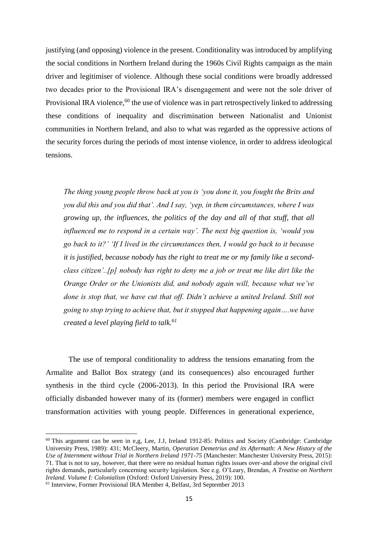justifying (and opposing) violence in the present. Conditionality was introduced by amplifying the social conditions in Northern Ireland during the 1960s Civil Rights campaign as the main driver and legitimiser of violence. Although these social conditions were broadly addressed two decades prior to the Provisional IRA's disengagement and were not the sole driver of Provisional IRA violence,<sup>60</sup> the use of violence was in part retrospectively linked to addressing these conditions of inequality and discrimination between Nationalist and Unionist communities in Northern Ireland, and also to what was regarded as the oppressive actions of the security forces during the periods of most intense violence, in order to address ideological tensions.

*The thing young people throw back at you is 'you done it, you fought the Brits and you did this and you did that'. And I say, 'yep, in them circumstances, where I was growing up, the influences, the politics of the day and all of that stuff, that all influenced me to respond in a certain way'. The next big question is, 'would you go back to it?' 'If I lived in the circumstances then, I would go back to it because it is justified, because nobody has the right to treat me or my family like a secondclass citizen'..[p] nobody has right to deny me a job or treat me like dirt like the Orange Order or the Unionists did, and nobody again will, because what we've*  done is stop that, we have cut that off. Didn't achieve a united Ireland. Still not *going to stop trying to achieve that, but it stopped that happening again….we have created a level playing field to talk.<sup>61</sup>*

The use of temporal conditionality to address the tensions emanating from the Armalite and Ballot Box strategy (and its consequences) also encouraged further synthesis in the third cycle (2006-2013). In this period the Provisional IRA were officially disbanded however many of its (former) members were engaged in conflict transformation activities with young people. Differences in generational experience,

 $60$  This argument can be seen in e.g, Lee, J.J, Ireland 1912-85: Politics and Society (Cambridge: Cambridge University Press, 1989): 431; McCleery, Martin, *Operation Demetrius and its Aftermath: A New History of the Use of Internment without Trial in Northern Ireland 1971-75* (Manchester: Manchester University Press, 2015): 71. That is not to say, however, that there were no residual human rights issues over-and above the original civil rights demands, particularly concerning security legislation. See e.g. O'Leary, Brendan, *A Treatise on Northern Ireland. Volume I: Colonialism* (Oxford: Oxford University Press, 2019): 100.

<sup>61</sup> Interview, Former Provisional IRA Member 4, Belfast, 3rd September 2013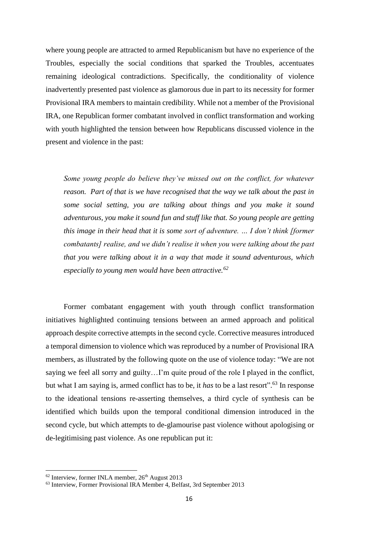where young people are attracted to armed Republicanism but have no experience of the Troubles, especially the social conditions that sparked the Troubles, accentuates remaining ideological contradictions. Specifically, the conditionality of violence inadvertently presented past violence as glamorous due in part to its necessity for former Provisional IRA members to maintain credibility. While not a member of the Provisional IRA, one Republican former combatant involved in conflict transformation and working with youth highlighted the tension between how Republicans discussed violence in the present and violence in the past:

*Some young people do believe they've missed out on the conflict, for whatever reason. Part of that is we have recognised that the way we talk about the past in some social setting, you are talking about things and you make it sound adventurous, you make it sound fun and stuff like that. So young people are getting this image in their head that it is some sort of adventure. … I don't think [former combatants] realise, and we didn't realise it when you were talking about the past that you were talking about it in a way that made it sound adventurous, which especially to young men would have been attractive.<sup>62</sup>*

Former combatant engagement with youth through conflict transformation initiatives highlighted continuing tensions between an armed approach and political approach despite corrective attempts in the second cycle. Corrective measures introduced a temporal dimension to violence which was reproduced by a number of Provisional IRA members, as illustrated by the following quote on the use of violence today: "We are not saying we feel all sorry and guilty…I'm quite proud of the role I played in the conflict, but what I am saying is, armed conflict has to be, it *has* to be a last resort". <sup>63</sup> In response to the ideational tensions re-asserting themselves, a third cycle of synthesis can be identified which builds upon the temporal conditional dimension introduced in the second cycle, but which attempts to de-glamourise past violence without apologising or de-legitimising past violence. As one republican put it:

 $62$  Interview, former INLA member,  $26<sup>th</sup>$  August 2013

<sup>63</sup> Interview, Former Provisional IRA Member 4, Belfast, 3rd September 2013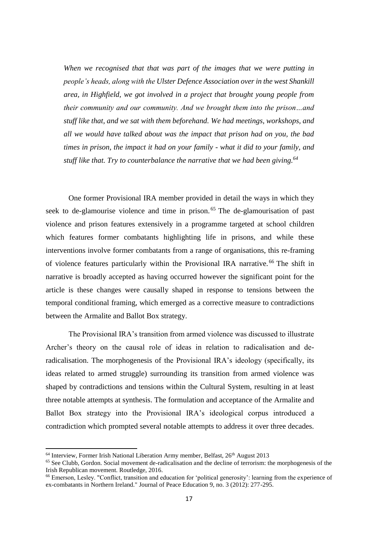*When we recognised that that was part of the images that we were putting in people's heads, along with the Ulster Defence Association over in the west Shankill area, in Highfield, we got involved in a project that brought young people from their community and our community. And we brought them into the prison…and stuff like that, and we sat with them beforehand. We had meetings, workshops, and all we would have talked about was the impact that prison had on you, the bad times in prison, the impact it had on your family - what it did to your family, and stuff like that. Try to counterbalance the narrative that we had been giving.<sup>64</sup>*

One former Provisional IRA member provided in detail the ways in which they seek to de-glamourise violence and time in prison.<sup>65</sup> The de-glamourisation of past violence and prison features extensively in a programme targeted at school children which features former combatants highlighting life in prisons, and while these interventions involve former combatants from a range of organisations, this re-framing of violence features particularly within the Provisional IRA narrative. <sup>66</sup> The shift in narrative is broadly accepted as having occurred however the significant point for the article is these changes were causally shaped in response to tensions between the temporal conditional framing, which emerged as a corrective measure to contradictions between the Armalite and Ballot Box strategy.

The Provisional IRA's transition from armed violence was discussed to illustrate Archer's theory on the causal role of ideas in relation to radicalisation and deradicalisation. The morphogenesis of the Provisional IRA's ideology (specifically, its ideas related to armed struggle) surrounding its transition from armed violence was shaped by contradictions and tensions within the Cultural System, resulting in at least three notable attempts at synthesis. The formulation and acceptance of the Armalite and Ballot Box strategy into the Provisional IRA's ideological corpus introduced a contradiction which prompted several notable attempts to address it over three decades.

 $64$  Interview, Former Irish National Liberation Army member, Belfast,  $26<sup>th</sup>$  August 2013

<sup>&</sup>lt;sup>65</sup> See Clubb, Gordon. Social movement de-radicalisation and the decline of terrorism: the morphogenesis of the Irish Republican movement. Routledge, 2016.

<sup>&</sup>lt;sup>66</sup> Emerson, Lesley. "Conflict, transition and education for 'political generosity': learning from the experience of ex-combatants in Northern Ireland." Journal of Peace Education 9, no. 3 (2012): 277-295.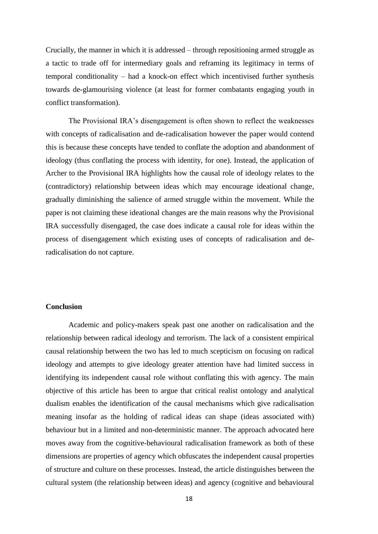Crucially, the manner in which it is addressed – through repositioning armed struggle as a tactic to trade off for intermediary goals and reframing its legitimacy in terms of temporal conditionality – had a knock-on effect which incentivised further synthesis towards de-glamourising violence (at least for former combatants engaging youth in conflict transformation).

The Provisional IRA's disengagement is often shown to reflect the weaknesses with concepts of radicalisation and de-radicalisation however the paper would contend this is because these concepts have tended to conflate the adoption and abandonment of ideology (thus conflating the process with identity, for one). Instead, the application of Archer to the Provisional IRA highlights how the causal role of ideology relates to the (contradictory) relationship between ideas which may encourage ideational change, gradually diminishing the salience of armed struggle within the movement. While the paper is not claiming these ideational changes are the main reasons why the Provisional IRA successfully disengaged, the case does indicate a causal role for ideas within the process of disengagement which existing uses of concepts of radicalisation and deradicalisation do not capture.

#### **Conclusion**

Academic and policy-makers speak past one another on radicalisation and the relationship between radical ideology and terrorism. The lack of a consistent empirical causal relationship between the two has led to much scepticism on focusing on radical ideology and attempts to give ideology greater attention have had limited success in identifying its independent causal role without conflating this with agency. The main objective of this article has been to argue that critical realist ontology and analytical dualism enables the identification of the causal mechanisms which give radicalisation meaning insofar as the holding of radical ideas can shape (ideas associated with) behaviour but in a limited and non-deterministic manner. The approach advocated here moves away from the cognitive-behavioural radicalisation framework as both of these dimensions are properties of agency which obfuscates the independent causal properties of structure and culture on these processes. Instead, the article distinguishes between the cultural system (the relationship between ideas) and agency (cognitive and behavioural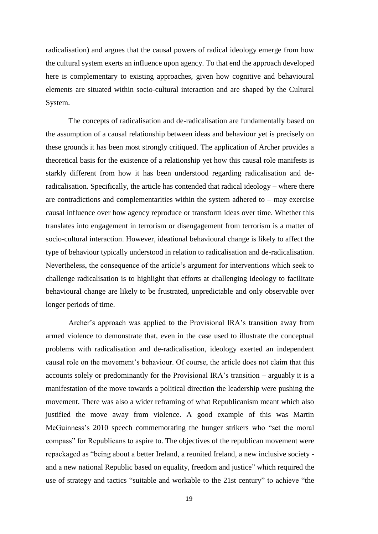radicalisation) and argues that the causal powers of radical ideology emerge from how the cultural system exerts an influence upon agency. To that end the approach developed here is complementary to existing approaches, given how cognitive and behavioural elements are situated within socio-cultural interaction and are shaped by the Cultural System.

The concepts of radicalisation and de-radicalisation are fundamentally based on the assumption of a causal relationship between ideas and behaviour yet is precisely on these grounds it has been most strongly critiqued. The application of Archer provides a theoretical basis for the existence of a relationship yet how this causal role manifests is starkly different from how it has been understood regarding radicalisation and deradicalisation. Specifically, the article has contended that radical ideology – where there are contradictions and complementarities within the system adhered to – may exercise causal influence over how agency reproduce or transform ideas over time. Whether this translates into engagement in terrorism or disengagement from terrorism is a matter of socio-cultural interaction. However, ideational behavioural change is likely to affect the type of behaviour typically understood in relation to radicalisation and de-radicalisation. Nevertheless, the consequence of the article's argument for interventions which seek to challenge radicalisation is to highlight that efforts at challenging ideology to facilitate behavioural change are likely to be frustrated, unpredictable and only observable over longer periods of time.

Archer's approach was applied to the Provisional IRA's transition away from armed violence to demonstrate that, even in the case used to illustrate the conceptual problems with radicalisation and de-radicalisation, ideology exerted an independent causal role on the movement's behaviour. Of course, the article does not claim that this accounts solely or predominantly for the Provisional IRA's transition – arguably it is a manifestation of the move towards a political direction the leadership were pushing the movement. There was also a wider reframing of what Republicanism meant which also justified the move away from violence. A good example of this was Martin McGuinness's 2010 speech commemorating the hunger strikers who "set the moral compass" for Republicans to aspire to. The objectives of the republican movement were repackaged as "being about a better Ireland, a reunited Ireland, a new inclusive society and a new national Republic based on equality, freedom and justice" which required the use of strategy and tactics "suitable and workable to the 21st century" to achieve "the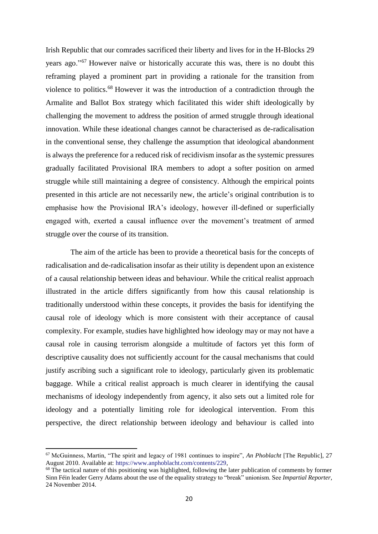Irish Republic that our comrades sacrificed their liberty and lives for in the H-Blocks 29 years ago."<sup>67</sup> However naïve or historically accurate this was, there is no doubt this reframing played a prominent part in providing a rationale for the transition from violence to politics. <sup>68</sup> However it was the introduction of a contradiction through the Armalite and Ballot Box strategy which facilitated this wider shift ideologically by challenging the movement to address the position of armed struggle through ideational innovation. While these ideational changes cannot be characterised as de-radicalisation in the conventional sense, they challenge the assumption that ideological abandonment is always the preference for a reduced risk of recidivism insofar as the systemic pressures gradually facilitated Provisional IRA members to adopt a softer position on armed struggle while still maintaining a degree of consistency. Although the empirical points presented in this article are not necessarily new, the article's original contribution is to emphasise how the Provisional IRA's ideology, however ill-defined or superficially engaged with, exerted a causal influence over the movement's treatment of armed struggle over the course of its transition.

The aim of the article has been to provide a theoretical basis for the concepts of radicalisation and de-radicalisation insofar as their utility is dependent upon an existence of a causal relationship between ideas and behaviour. While the critical realist approach illustrated in the article differs significantly from how this causal relationship is traditionally understood within these concepts, it provides the basis for identifying the causal role of ideology which is more consistent with their acceptance of causal complexity. For example, studies have highlighted how ideology may or may not have a causal role in causing terrorism alongside a multitude of factors yet this form of descriptive causality does not sufficiently account for the causal mechanisms that could justify ascribing such a significant role to ideology, particularly given its problematic baggage. While a critical realist approach is much clearer in identifying the causal mechanisms of ideology independently from agency, it also sets out a limited role for ideology and a potentially limiting role for ideological intervention. From this perspective, the direct relationship between ideology and behaviour is called into

<sup>67</sup> McGuinness, Martin, "The spirit and legacy of 1981 continues to inspire", *An Phoblacht* [The Republic], 27 August 2010. Available at: [https://www.anphoblacht.com/contents/229,](https://www.anphoblacht.com/contents/229)

<sup>&</sup>lt;sup>68</sup> The tactical nature of this positioning was highlighted, following the later publication of comments by former Sinn Féin leader Gerry Adams about the use of the equality strategy to "break" unionism. See *Impartial Reporter*, 24 November 2014.